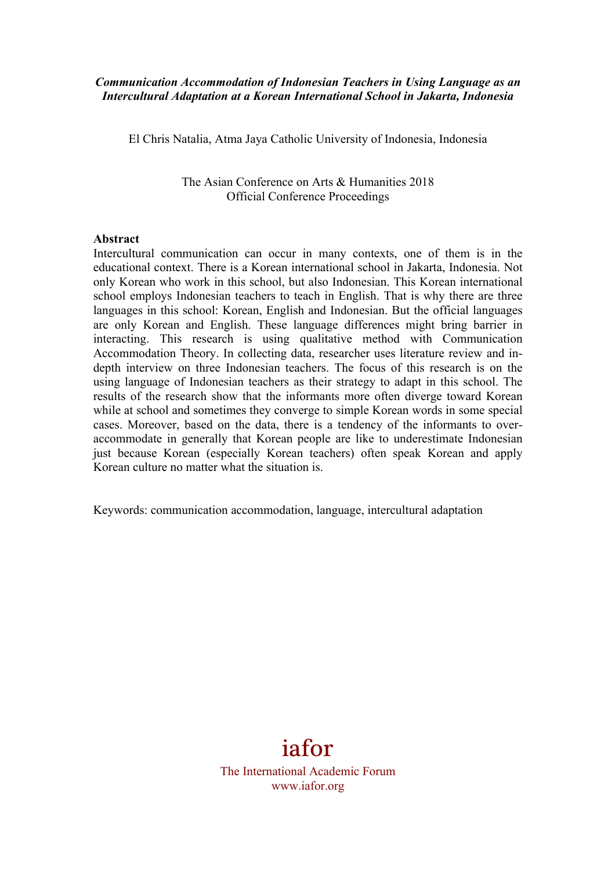### *Communication Accommodation of Indonesian Teachers in Using Language as an Intercultural Adaptation at a Korean International School in Jakarta, Indonesia*

El Chris Natalia, Atma Jaya Catholic University of Indonesia, Indonesia

The Asian Conference on Arts & Humanities 2018 Official Conference Proceedings

#### **Abstract**

Intercultural communication can occur in many contexts, one of them is in the educational context. There is a Korean international school in Jakarta, Indonesia. Not only Korean who work in this school, but also Indonesian. This Korean international school employs Indonesian teachers to teach in English. That is why there are three languages in this school: Korean, English and Indonesian. But the official languages are only Korean and English. These language differences might bring barrier in interacting. This research is using qualitative method with Communication Accommodation Theory. In collecting data, researcher uses literature review and indepth interview on three Indonesian teachers. The focus of this research is on the using language of Indonesian teachers as their strategy to adapt in this school. The results of the research show that the informants more often diverge toward Korean while at school and sometimes they converge to simple Korean words in some special cases. Moreover, based on the data, there is a tendency of the informants to overaccommodate in generally that Korean people are like to underestimate Indonesian just because Korean (especially Korean teachers) often speak Korean and apply Korean culture no matter what the situation is.

Keywords: communication accommodation, language, intercultural adaptation

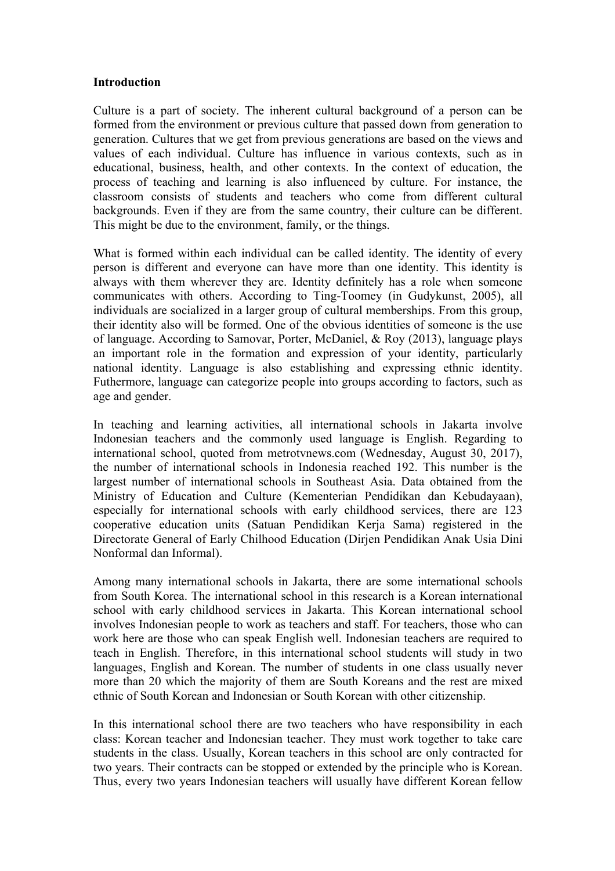#### **Introduction**

Culture is a part of society. The inherent cultural background of a person can be formed from the environment or previous culture that passed down from generation to generation. Cultures that we get from previous generations are based on the views and values of each individual. Culture has influence in various contexts, such as in educational, business, health, and other contexts. In the context of education, the process of teaching and learning is also influenced by culture. For instance, the classroom consists of students and teachers who come from different cultural backgrounds. Even if they are from the same country, their culture can be different. This might be due to the environment, family, or the things.

What is formed within each individual can be called identity. The identity of every person is different and everyone can have more than one identity. This identity is always with them wherever they are. Identity definitely has a role when someone communicates with others. According to Ting-Toomey (in Gudykunst, 2005), all individuals are socialized in a larger group of cultural memberships. From this group, their identity also will be formed. One of the obvious identities of someone is the use of language. According to Samovar, Porter, McDaniel, & Roy (2013), language plays an important role in the formation and expression of your identity, particularly national identity. Language is also establishing and expressing ethnic identity. Futhermore, language can categorize people into groups according to factors, such as age and gender.

In teaching and learning activities, all international schools in Jakarta involve Indonesian teachers and the commonly used language is English. Regarding to international school, quoted from metrotvnews.com (Wednesday, August 30, 2017), the number of international schools in Indonesia reached 192. This number is the largest number of international schools in Southeast Asia. Data obtained from the Ministry of Education and Culture (Kementerian Pendidikan dan Kebudayaan), especially for international schools with early childhood services, there are 123 cooperative education units (Satuan Pendidikan Kerja Sama) registered in the Directorate General of Early Chilhood Education (Dirjen Pendidikan Anak Usia Dini Nonformal dan Informal).

Among many international schools in Jakarta, there are some international schools from South Korea. The international school in this research is a Korean international school with early childhood services in Jakarta. This Korean international school involves Indonesian people to work as teachers and staff. For teachers, those who can work here are those who can speak English well. Indonesian teachers are required to teach in English. Therefore, in this international school students will study in two languages, English and Korean. The number of students in one class usually never more than 20 which the majority of them are South Koreans and the rest are mixed ethnic of South Korean and Indonesian or South Korean with other citizenship.

In this international school there are two teachers who have responsibility in each class: Korean teacher and Indonesian teacher. They must work together to take care students in the class. Usually, Korean teachers in this school are only contracted for two years. Their contracts can be stopped or extended by the principle who is Korean. Thus, every two years Indonesian teachers will usually have different Korean fellow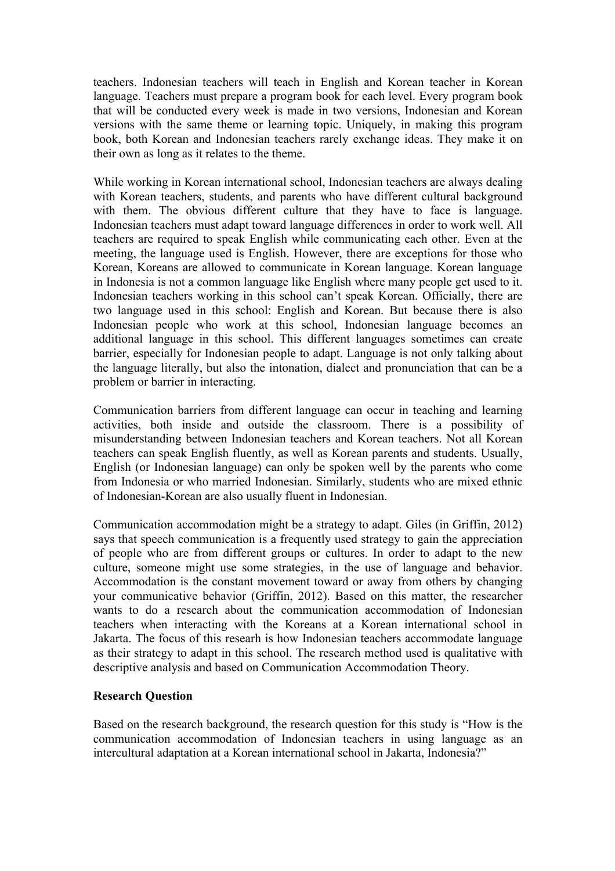teachers. Indonesian teachers will teach in English and Korean teacher in Korean language. Teachers must prepare a program book for each level. Every program book that will be conducted every week is made in two versions, Indonesian and Korean versions with the same theme or learning topic. Uniquely, in making this program book, both Korean and Indonesian teachers rarely exchange ideas. They make it on their own as long as it relates to the theme.

While working in Korean international school, Indonesian teachers are always dealing with Korean teachers, students, and parents who have different cultural background with them. The obvious different culture that they have to face is language. Indonesian teachers must adapt toward language differences in order to work well. All teachers are required to speak English while communicating each other. Even at the meeting, the language used is English. However, there are exceptions for those who Korean, Koreans are allowed to communicate in Korean language. Korean language in Indonesia is not a common language like English where many people get used to it. Indonesian teachers working in this school can't speak Korean. Officially, there are two language used in this school: English and Korean. But because there is also Indonesian people who work at this school, Indonesian language becomes an additional language in this school. This different languages sometimes can create barrier, especially for Indonesian people to adapt. Language is not only talking about the language literally, but also the intonation, dialect and pronunciation that can be a problem or barrier in interacting.

Communication barriers from different language can occur in teaching and learning activities, both inside and outside the classroom. There is a possibility of misunderstanding between Indonesian teachers and Korean teachers. Not all Korean teachers can speak English fluently, as well as Korean parents and students. Usually, English (or Indonesian language) can only be spoken well by the parents who come from Indonesia or who married Indonesian. Similarly, students who are mixed ethnic of Indonesian-Korean are also usually fluent in Indonesian.

Communication accommodation might be a strategy to adapt. Giles (in Griffin, 2012) says that speech communication is a frequently used strategy to gain the appreciation of people who are from different groups or cultures. In order to adapt to the new culture, someone might use some strategies, in the use of language and behavior. Accommodation is the constant movement toward or away from others by changing your communicative behavior (Griffin, 2012). Based on this matter, the researcher wants to do a research about the communication accommodation of Indonesian teachers when interacting with the Koreans at a Korean international school in Jakarta. The focus of this researh is how Indonesian teachers accommodate language as their strategy to adapt in this school. The research method used is qualitative with descriptive analysis and based on Communication Accommodation Theory.

### **Research Question**

Based on the research background, the research question for this study is "How is the communication accommodation of Indonesian teachers in using language as an intercultural adaptation at a Korean international school in Jakarta, Indonesia?"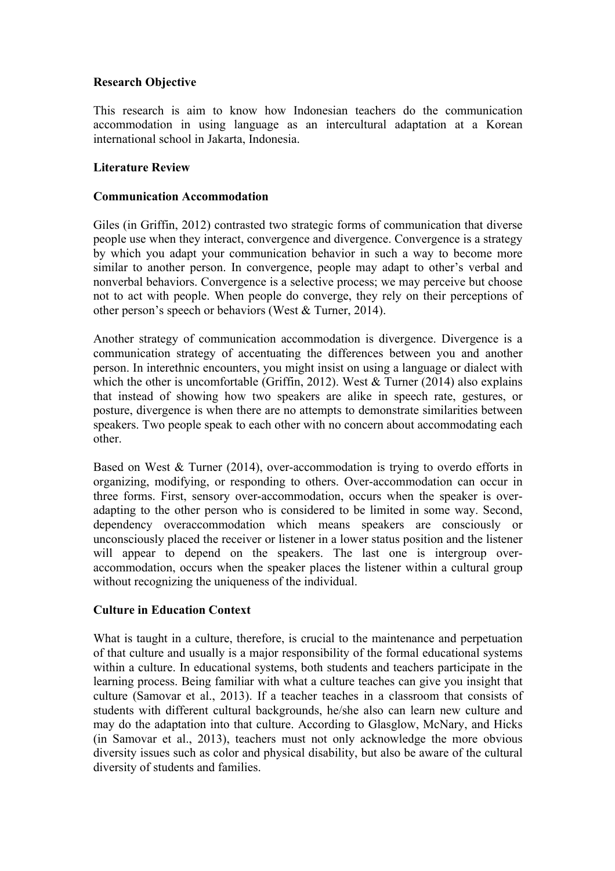# **Research Objective**

This research is aim to know how Indonesian teachers do the communication accommodation in using language as an intercultural adaptation at a Korean international school in Jakarta, Indonesia.

# **Literature Review**

# **Communication Accommodation**

Giles (in Griffin, 2012) contrasted two strategic forms of communication that diverse people use when they interact, convergence and divergence. Convergence is a strategy by which you adapt your communication behavior in such a way to become more similar to another person. In convergence, people may adapt to other's verbal and nonverbal behaviors. Convergence is a selective process; we may perceive but choose not to act with people. When people do converge, they rely on their perceptions of other person's speech or behaviors (West & Turner, 2014).

Another strategy of communication accommodation is divergence. Divergence is a communication strategy of accentuating the differences between you and another person. In interethnic encounters, you might insist on using a language or dialect with which the other is uncomfortable (Griffin, 2012). West  $&$  Turner (2014) also explains that instead of showing how two speakers are alike in speech rate, gestures, or posture, divergence is when there are no attempts to demonstrate similarities between speakers. Two people speak to each other with no concern about accommodating each other.

Based on West & Turner (2014), over-accommodation is trying to overdo efforts in organizing, modifying, or responding to others. Over-accommodation can occur in three forms. First, sensory over-accommodation, occurs when the speaker is overadapting to the other person who is considered to be limited in some way. Second, dependency overaccommodation which means speakers are consciously or unconsciously placed the receiver or listener in a lower status position and the listener will appear to depend on the speakers. The last one is intergroup overaccommodation, occurs when the speaker places the listener within a cultural group without recognizing the uniqueness of the individual.

# **Culture in Education Context**

What is taught in a culture, therefore, is crucial to the maintenance and perpetuation of that culture and usually is a major responsibility of the formal educational systems within a culture. In educational systems, both students and teachers participate in the learning process. Being familiar with what a culture teaches can give you insight that culture (Samovar et al., 2013). If a teacher teaches in a classroom that consists of students with different cultural backgrounds, he/she also can learn new culture and may do the adaptation into that culture. According to Glasglow, McNary, and Hicks (in Samovar et al., 2013), teachers must not only acknowledge the more obvious diversity issues such as color and physical disability, but also be aware of the cultural diversity of students and families.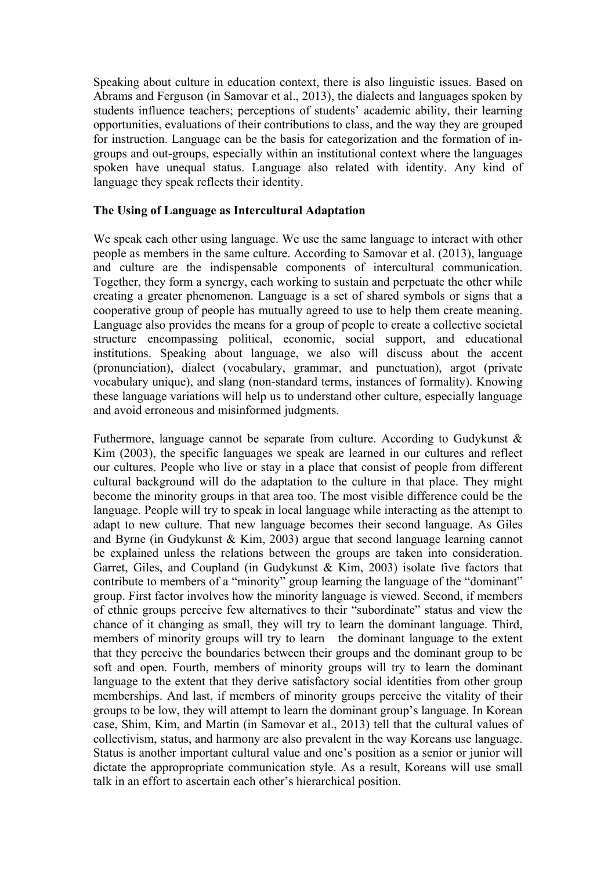Speaking about culture in education context, there is also linguistic issues. Based on Abrams and Ferguson (in Samovar et al., 2013), the dialects and languages spoken by students influence teachers; perceptions of students' academic ability, their learning opportunities, evaluations of their contributions to class, and the way they are grouped for instruction. Language can be the basis for categorization and the formation of ingroups and out-groups, especially within an institutional context where the languages spoken have unequal status. Language also related with identity. Any kind of language they speak reflects their identity.

### **The Using of Language as Intercultural Adaptation**

We speak each other using language. We use the same language to interact with other people as members in the same culture. According to Samovar et al. (2013), language and culture are the indispensable components of intercultural communication. Together, they form a synergy, each working to sustain and perpetuate the other while creating a greater phenomenon. Language is a set of shared symbols or signs that a cooperative group of people has mutually agreed to use to help them create meaning. Language also provides the means for a group of people to create a collective societal structure encompassing political, economic, social support, and educational institutions. Speaking about language, we also will discuss about the accent (pronunciation), dialect (vocabulary, grammar, and punctuation), argot (private vocabulary unique), and slang (non-standard terms, instances of formality). Knowing these language variations will help us to understand other culture, especially language and avoid erroneous and misinformed judgments.

Futhermore, language cannot be separate from culture. According to Gudykunst  $\&$ Kim (2003), the specific languages we speak are learned in our cultures and reflect our cultures. People who live or stay in a place that consist of people from different cultural background will do the adaptation to the culture in that place. They might become the minority groups in that area too. The most visible difference could be the language. People will try to speak in local language while interacting as the attempt to adapt to new culture. That new language becomes their second language. As Giles and Byrne (in Gudykunst & Kim, 2003) argue that second language learning cannot be explained unless the relations between the groups are taken into consideration. Garret, Giles, and Coupland (in Gudykunst & Kim, 2003) isolate five factors that contribute to members of a "minority" group learning the language of the "dominant" group. First factor involves how the minority language is viewed. Second, if members of ethnic groups perceive few alternatives to their "subordinate" status and view the chance of it changing as small, they will try to learn the dominant language. Third, members of minority groups will try to learn the dominant language to the extent that they perceive the boundaries between their groups and the dominant group to be soft and open. Fourth, members of minority groups will try to learn the dominant language to the extent that they derive satisfactory social identities from other group memberships. And last, if members of minority groups perceive the vitality of their groups to be low, they will attempt to learn the dominant group's language. In Korean case, Shim, Kim, and Martin (in Samovar et al., 2013) tell that the cultural values of collectivism, status, and harmony are also prevalent in the way Koreans use language. Status is another important cultural value and one's position as a senior or junior will dictate the appropropriate communication style. As a result, Koreans will use small talk in an effort to ascertain each other's hierarchical position.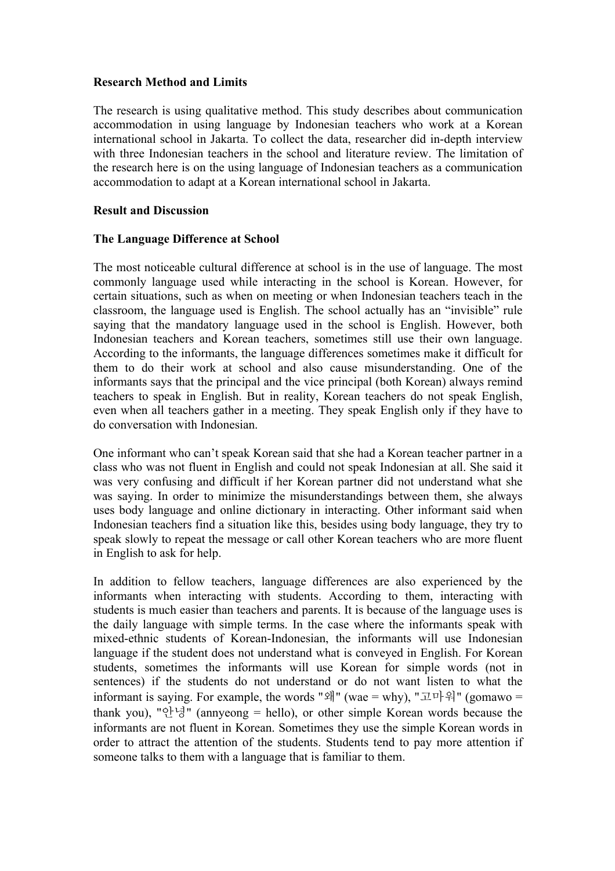### **Research Method and Limits**

The research is using qualitative method. This study describes about communication accommodation in using language by Indonesian teachers who work at a Korean international school in Jakarta. To collect the data, researcher did in-depth interview with three Indonesian teachers in the school and literature review. The limitation of the research here is on the using language of Indonesian teachers as a communication accommodation to adapt at a Korean international school in Jakarta.

### **Result and Discussion**

### **The Language Difference at School**

The most noticeable cultural difference at school is in the use of language. The most commonly language used while interacting in the school is Korean. However, for certain situations, such as when on meeting or when Indonesian teachers teach in the classroom, the language used is English. The school actually has an "invisible" rule saying that the mandatory language used in the school is English. However, both Indonesian teachers and Korean teachers, sometimes still use their own language. According to the informants, the language differences sometimes make it difficult for them to do their work at school and also cause misunderstanding. One of the informants says that the principal and the vice principal (both Korean) always remind teachers to speak in English. But in reality, Korean teachers do not speak English, even when all teachers gather in a meeting. They speak English only if they have to do conversation with Indonesian.

One informant who can't speak Korean said that she had a Korean teacher partner in a class who was not fluent in English and could not speak Indonesian at all. She said it was very confusing and difficult if her Korean partner did not understand what she was saying. In order to minimize the misunderstandings between them, she always uses body language and online dictionary in interacting. Other informant said when Indonesian teachers find a situation like this, besides using body language, they try to speak slowly to repeat the message or call other Korean teachers who are more fluent in English to ask for help.

In addition to fellow teachers, language differences are also experienced by the informants when interacting with students. According to them, interacting with students is much easier than teachers and parents. It is because of the language uses is the daily language with simple terms. In the case where the informants speak with mixed-ethnic students of Korean-Indonesian, the informants will use Indonesian language if the student does not understand what is conveyed in English. For Korean students, sometimes the informants will use Korean for simple words (not in sentences) if the students do not understand or do not want listen to what the informant is saying. For example, the words "왜" (wae = why), "고마워" (gomawo = thank you), "안녕" (annyeong = hello), or other simple Korean words because the informants are not fluent in Korean. Sometimes they use the simple Korean words in order to attract the attention of the students. Students tend to pay more attention if someone talks to them with a language that is familiar to them.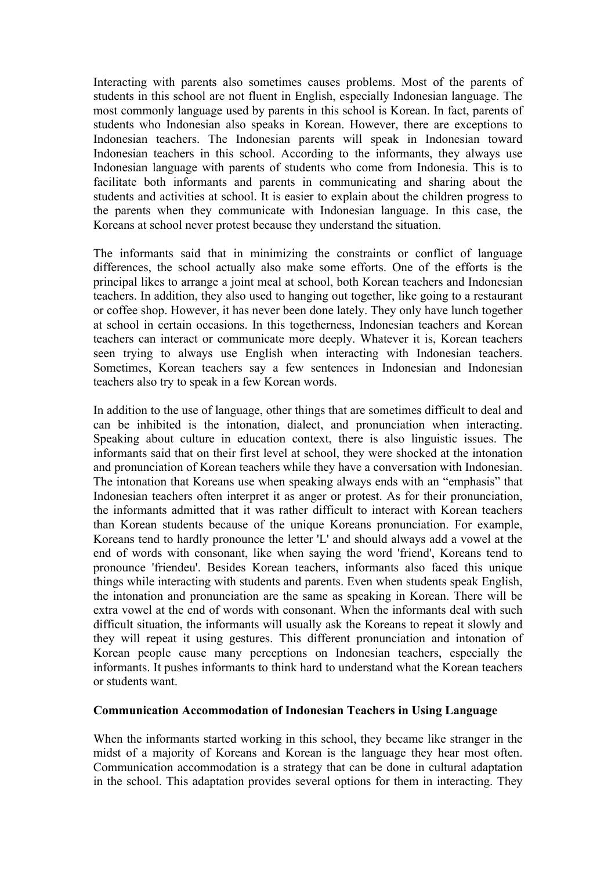Interacting with parents also sometimes causes problems. Most of the parents of students in this school are not fluent in English, especially Indonesian language. The most commonly language used by parents in this school is Korean. In fact, parents of students who Indonesian also speaks in Korean. However, there are exceptions to Indonesian teachers. The Indonesian parents will speak in Indonesian toward Indonesian teachers in this school. According to the informants, they always use Indonesian language with parents of students who come from Indonesia. This is to facilitate both informants and parents in communicating and sharing about the students and activities at school. It is easier to explain about the children progress to the parents when they communicate with Indonesian language. In this case, the Koreans at school never protest because they understand the situation.

The informants said that in minimizing the constraints or conflict of language differences, the school actually also make some efforts. One of the efforts is the principal likes to arrange a joint meal at school, both Korean teachers and Indonesian teachers. In addition, they also used to hanging out together, like going to a restaurant or coffee shop. However, it has never been done lately. They only have lunch together at school in certain occasions. In this togetherness, Indonesian teachers and Korean teachers can interact or communicate more deeply. Whatever it is, Korean teachers seen trying to always use English when interacting with Indonesian teachers. Sometimes, Korean teachers say a few sentences in Indonesian and Indonesian teachers also try to speak in a few Korean words.

In addition to the use of language, other things that are sometimes difficult to deal and can be inhibited is the intonation, dialect, and pronunciation when interacting. Speaking about culture in education context, there is also linguistic issues. The informants said that on their first level at school, they were shocked at the intonation and pronunciation of Korean teachers while they have a conversation with Indonesian. The intonation that Koreans use when speaking always ends with an "emphasis" that Indonesian teachers often interpret it as anger or protest. As for their pronunciation, the informants admitted that it was rather difficult to interact with Korean teachers than Korean students because of the unique Koreans pronunciation. For example, Koreans tend to hardly pronounce the letter 'L' and should always add a vowel at the end of words with consonant, like when saying the word 'friend', Koreans tend to pronounce 'friendeu'. Besides Korean teachers, informants also faced this unique things while interacting with students and parents. Even when students speak English, the intonation and pronunciation are the same as speaking in Korean. There will be extra vowel at the end of words with consonant. When the informants deal with such difficult situation, the informants will usually ask the Koreans to repeat it slowly and they will repeat it using gestures. This different pronunciation and intonation of Korean people cause many perceptions on Indonesian teachers, especially the informants. It pushes informants to think hard to understand what the Korean teachers or students want.

# **Communication Accommodation of Indonesian Teachers in Using Language**

When the informants started working in this school, they became like stranger in the midst of a majority of Koreans and Korean is the language they hear most often. Communication accommodation is a strategy that can be done in cultural adaptation in the school. This adaptation provides several options for them in interacting. They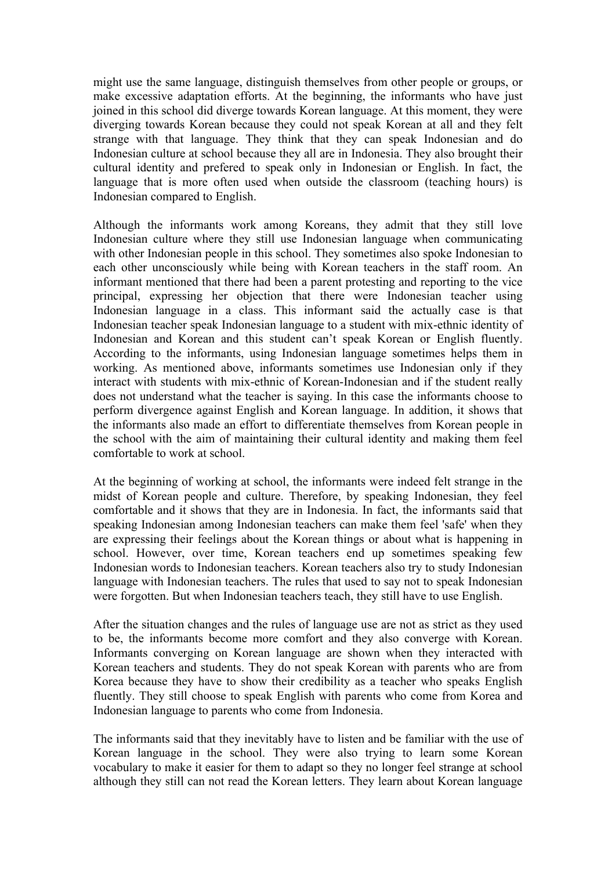might use the same language, distinguish themselves from other people or groups, or make excessive adaptation efforts. At the beginning, the informants who have just joined in this school did diverge towards Korean language. At this moment, they were diverging towards Korean because they could not speak Korean at all and they felt strange with that language. They think that they can speak Indonesian and do Indonesian culture at school because they all are in Indonesia. They also brought their cultural identity and prefered to speak only in Indonesian or English. In fact, the language that is more often used when outside the classroom (teaching hours) is Indonesian compared to English.

Although the informants work among Koreans, they admit that they still love Indonesian culture where they still use Indonesian language when communicating with other Indonesian people in this school. They sometimes also spoke Indonesian to each other unconsciously while being with Korean teachers in the staff room. An informant mentioned that there had been a parent protesting and reporting to the vice principal, expressing her objection that there were Indonesian teacher using Indonesian language in a class. This informant said the actually case is that Indonesian teacher speak Indonesian language to a student with mix-ethnic identity of Indonesian and Korean and this student can't speak Korean or English fluently. According to the informants, using Indonesian language sometimes helps them in working. As mentioned above, informants sometimes use Indonesian only if they interact with students with mix-ethnic of Korean-Indonesian and if the student really does not understand what the teacher is saying. In this case the informants choose to perform divergence against English and Korean language. In addition, it shows that the informants also made an effort to differentiate themselves from Korean people in the school with the aim of maintaining their cultural identity and making them feel comfortable to work at school.

At the beginning of working at school, the informants were indeed felt strange in the midst of Korean people and culture. Therefore, by speaking Indonesian, they feel comfortable and it shows that they are in Indonesia. In fact, the informants said that speaking Indonesian among Indonesian teachers can make them feel 'safe' when they are expressing their feelings about the Korean things or about what is happening in school. However, over time, Korean teachers end up sometimes speaking few Indonesian words to Indonesian teachers. Korean teachers also try to study Indonesian language with Indonesian teachers. The rules that used to say not to speak Indonesian were forgotten. But when Indonesian teachers teach, they still have to use English.

After the situation changes and the rules of language use are not as strict as they used to be, the informants become more comfort and they also converge with Korean. Informants converging on Korean language are shown when they interacted with Korean teachers and students. They do not speak Korean with parents who are from Korea because they have to show their credibility as a teacher who speaks English fluently. They still choose to speak English with parents who come from Korea and Indonesian language to parents who come from Indonesia.

The informants said that they inevitably have to listen and be familiar with the use of Korean language in the school. They were also trying to learn some Korean vocabulary to make it easier for them to adapt so they no longer feel strange at school although they still can not read the Korean letters. They learn about Korean language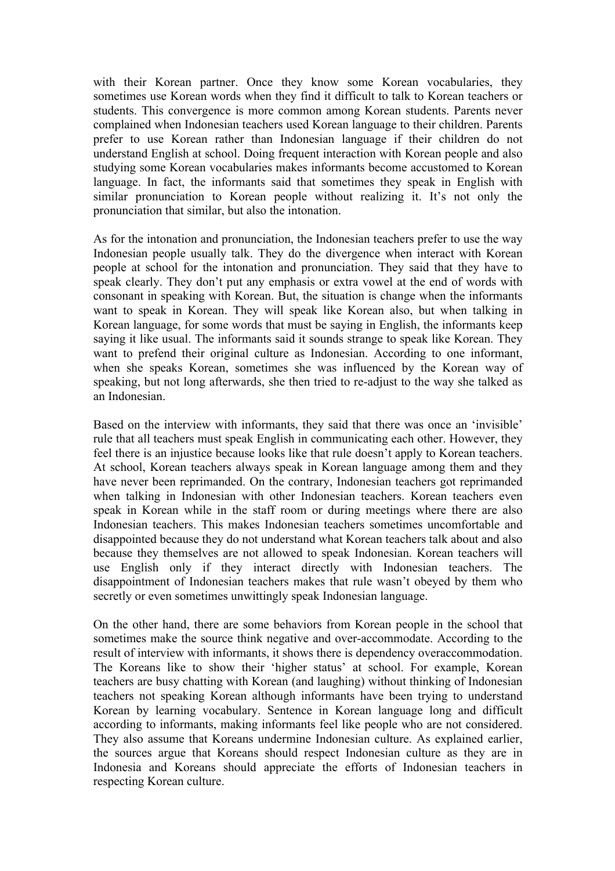with their Korean partner. Once they know some Korean vocabularies, they sometimes use Korean words when they find it difficult to talk to Korean teachers or students. This convergence is more common among Korean students. Parents never complained when Indonesian teachers used Korean language to their children. Parents prefer to use Korean rather than Indonesian language if their children do not understand English at school. Doing frequent interaction with Korean people and also studying some Korean vocabularies makes informants become accustomed to Korean language. In fact, the informants said that sometimes they speak in English with similar pronunciation to Korean people without realizing it. It's not only the pronunciation that similar, but also the intonation.

As for the intonation and pronunciation, the Indonesian teachers prefer to use the way Indonesian people usually talk. They do the divergence when interact with Korean people at school for the intonation and pronunciation. They said that they have to speak clearly. They don't put any emphasis or extra vowel at the end of words with consonant in speaking with Korean. But, the situation is change when the informants want to speak in Korean. They will speak like Korean also, but when talking in Korean language, for some words that must be saying in English, the informants keep saying it like usual. The informants said it sounds strange to speak like Korean. They want to prefend their original culture as Indonesian. According to one informant, when she speaks Korean, sometimes she was influenced by the Korean way of speaking, but not long afterwards, she then tried to re-adjust to the way she talked as an Indonesian.

Based on the interview with informants, they said that there was once an 'invisible' rule that all teachers must speak English in communicating each other. However, they feel there is an injustice because looks like that rule doesn't apply to Korean teachers. At school, Korean teachers always speak in Korean language among them and they have never been reprimanded. On the contrary, Indonesian teachers got reprimanded when talking in Indonesian with other Indonesian teachers. Korean teachers even speak in Korean while in the staff room or during meetings where there are also Indonesian teachers. This makes Indonesian teachers sometimes uncomfortable and disappointed because they do not understand what Korean teachers talk about and also because they themselves are not allowed to speak Indonesian. Korean teachers will use English only if they interact directly with Indonesian teachers. The disappointment of Indonesian teachers makes that rule wasn't obeyed by them who secretly or even sometimes unwittingly speak Indonesian language.

On the other hand, there are some behaviors from Korean people in the school that sometimes make the source think negative and over-accommodate. According to the result of interview with informants, it shows there is dependency overaccommodation. The Koreans like to show their 'higher status' at school. For example, Korean teachers are busy chatting with Korean (and laughing) without thinking of Indonesian teachers not speaking Korean although informants have been trying to understand Korean by learning vocabulary. Sentence in Korean language long and difficult according to informants, making informants feel like people who are not considered. They also assume that Koreans undermine Indonesian culture. As explained earlier, the sources argue that Koreans should respect Indonesian culture as they are in Indonesia and Koreans should appreciate the efforts of Indonesian teachers in respecting Korean culture.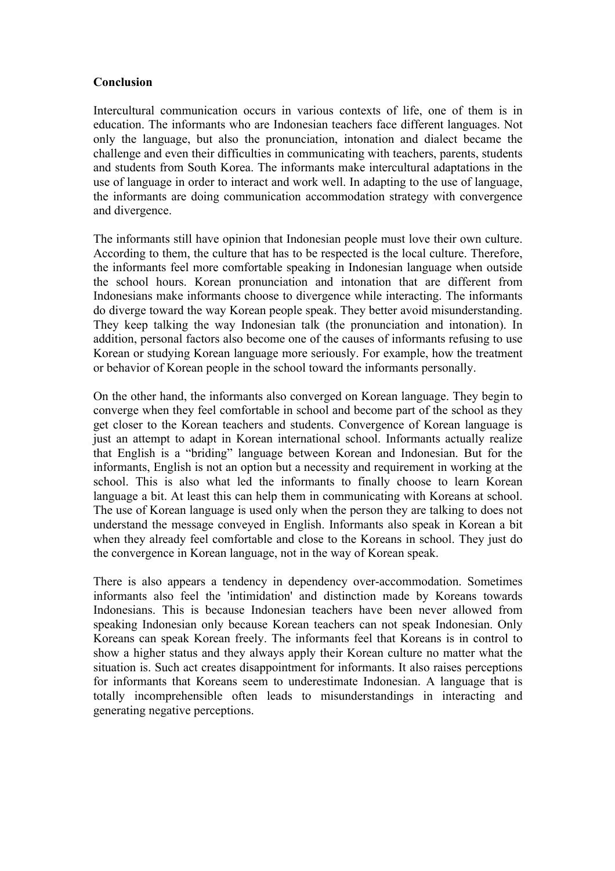### **Conclusion**

Intercultural communication occurs in various contexts of life, one of them is in education. The informants who are Indonesian teachers face different languages. Not only the language, but also the pronunciation, intonation and dialect became the challenge and even their difficulties in communicating with teachers, parents, students and students from South Korea. The informants make intercultural adaptations in the use of language in order to interact and work well. In adapting to the use of language, the informants are doing communication accommodation strategy with convergence and divergence.

The informants still have opinion that Indonesian people must love their own culture. According to them, the culture that has to be respected is the local culture. Therefore, the informants feel more comfortable speaking in Indonesian language when outside the school hours. Korean pronunciation and intonation that are different from Indonesians make informants choose to divergence while interacting. The informants do diverge toward the way Korean people speak. They better avoid misunderstanding. They keep talking the way Indonesian talk (the pronunciation and intonation). In addition, personal factors also become one of the causes of informants refusing to use Korean or studying Korean language more seriously. For example, how the treatment or behavior of Korean people in the school toward the informants personally.

On the other hand, the informants also converged on Korean language. They begin to converge when they feel comfortable in school and become part of the school as they get closer to the Korean teachers and students. Convergence of Korean language is just an attempt to adapt in Korean international school. Informants actually realize that English is a "briding" language between Korean and Indonesian. But for the informants, English is not an option but a necessity and requirement in working at the school. This is also what led the informants to finally choose to learn Korean language a bit. At least this can help them in communicating with Koreans at school. The use of Korean language is used only when the person they are talking to does not understand the message conveyed in English. Informants also speak in Korean a bit when they already feel comfortable and close to the Koreans in school. They just do the convergence in Korean language, not in the way of Korean speak.

There is also appears a tendency in dependency over-accommodation. Sometimes informants also feel the 'intimidation' and distinction made by Koreans towards Indonesians. This is because Indonesian teachers have been never allowed from speaking Indonesian only because Korean teachers can not speak Indonesian. Only Koreans can speak Korean freely. The informants feel that Koreans is in control to show a higher status and they always apply their Korean culture no matter what the situation is. Such act creates disappointment for informants. It also raises perceptions for informants that Koreans seem to underestimate Indonesian. A language that is totally incomprehensible often leads to misunderstandings in interacting and generating negative perceptions.